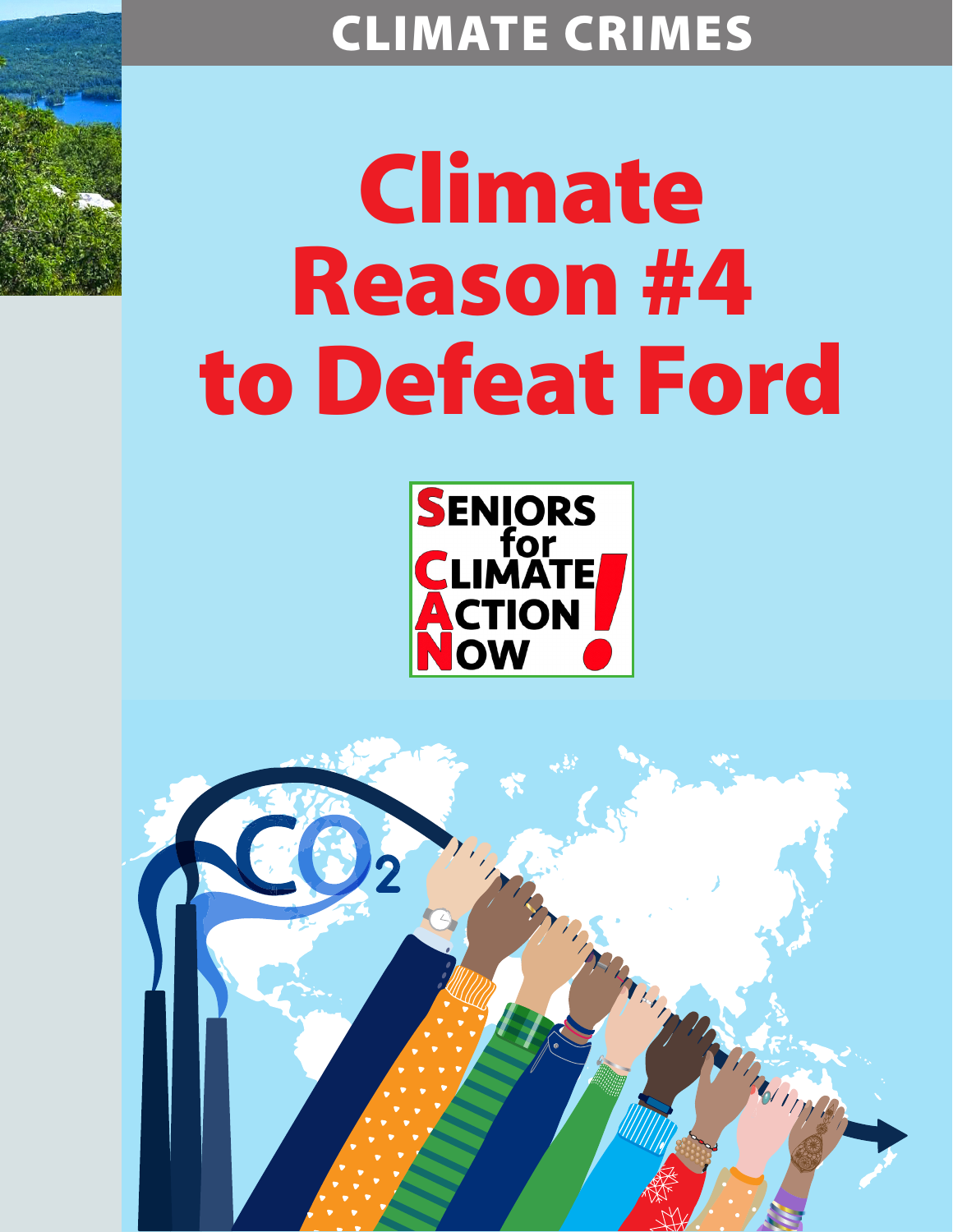## CLIMATE CRIMES

## Climate Reason #4 to Defeat Ford



Marian

Thompson